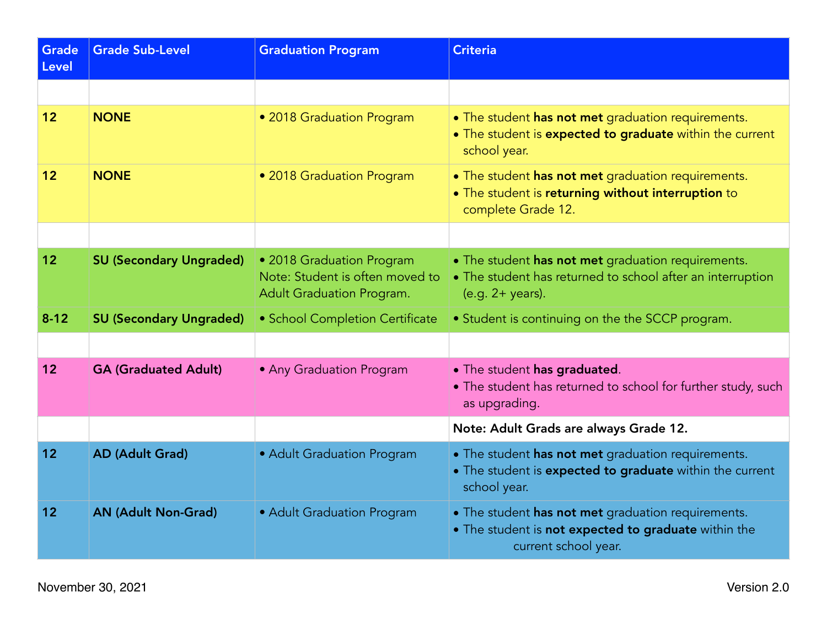| <b>Grade</b><br><b>Level</b> | <b>Grade Sub-Level</b>         | <b>Graduation Program</b>                                                                 | <b>Criteria</b>                                                                                                                        |
|------------------------------|--------------------------------|-------------------------------------------------------------------------------------------|----------------------------------------------------------------------------------------------------------------------------------------|
|                              |                                |                                                                                           |                                                                                                                                        |
| 12 <sub>2</sub>              | <b>NONE</b>                    | • 2018 Graduation Program                                                                 | • The student has not met graduation requirements.<br>. The student is expected to graduate within the current<br>school year.         |
| 12 <sup>2</sup>              | <b>NONE</b>                    | • 2018 Graduation Program                                                                 | • The student has not met graduation requirements.<br>. The student is returning without interruption to<br>complete Grade 12.         |
|                              |                                |                                                                                           |                                                                                                                                        |
| 12 <sub>2</sub>              | <b>SU (Secondary Ungraded)</b> | • 2018 Graduation Program<br>Note: Student is often moved to<br>Adult Graduation Program. | • The student has not met graduation requirements.<br>• The student has returned to school after an interruption<br>$(e.g. 2+ years).$ |
| $8 - 12$                     | <b>SU (Secondary Ungraded)</b> | • School Completion Certificate                                                           | • Student is continuing on the the SCCP program.                                                                                       |
|                              |                                |                                                                                           |                                                                                                                                        |
| 12                           | <b>GA (Graduated Adult)</b>    | • Any Graduation Program                                                                  | • The student has graduated.<br>• The student has returned to school for further study, such<br>as upgrading.                          |
|                              |                                |                                                                                           | Note: Adult Grads are always Grade 12.                                                                                                 |
| 12                           | <b>AD (Adult Grad)</b>         | • Adult Graduation Program                                                                | • The student has not met graduation requirements.<br>• The student is expected to graduate within the current<br>school year.         |
| 12                           | <b>AN (Adult Non-Grad)</b>     | • Adult Graduation Program                                                                | • The student has not met graduation requirements.<br>. The student is not expected to graduate within the<br>current school year.     |